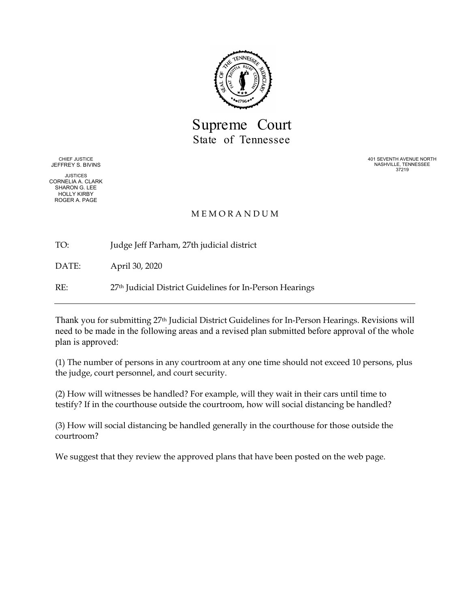

Supreme Court State of Tennessee

CHIEF JUSTICE JEFFREY S. BIVINS

JUSTICES CORNELIA A. CLARK SHARON G. LEE HOLLY KIRBY ROGER A. PAGE

401 SEVENTH AVENUE NORTH NASHVILLE, TENNESSEE 37219

#### M E M O R A N D U M

TO: Judge Jeff Parham, 27th judicial district

DATE: April 30, 2020

RE: 27th Judicial District Guidelines for In-Person Hearings

Thank you for submitting 27th Judicial District Guidelines for In-Person Hearings. Revisions will need to be made in the following areas and a revised plan submitted before approval of the whole plan is approved:

(1) The number of persons in any courtroom at any one time should not exceed 10 persons, plus the judge, court personnel, and court security.

(2) How will witnesses be handled? For example, will they wait in their cars until time to testify? If in the courthouse outside the courtroom, how will social distancing be handled?

(3) How will social distancing be handled generally in the courthouse for those outside the courtroom?

We suggest that they review the approved plans that have been posted on the web page.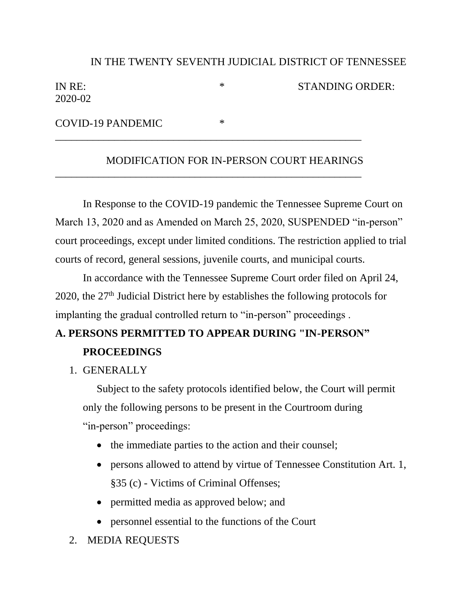### IN THE TWENTY SEVENTH JUDICIAL DISTRICT OF TENNESSEE

| IN RE:  |  |
|---------|--|
| 2020-02 |  |

\* STANDING ORDER:

COVID-19 PANDEMIC \*

#### MODIFICATION FOR IN-PERSON COURT HEARINGS

\_\_\_\_\_\_\_\_\_\_\_\_\_\_\_\_\_\_\_\_\_\_\_\_\_\_\_\_\_\_\_\_\_\_\_\_\_\_\_\_\_\_\_\_\_\_\_\_\_\_\_\_\_\_\_\_\_

\_\_\_\_\_\_\_\_\_\_\_\_\_\_\_\_\_\_\_\_\_\_\_\_\_\_\_\_\_\_\_\_\_\_\_\_\_\_\_\_\_\_\_\_\_\_\_\_\_\_\_\_\_\_\_\_\_

In Response to the COVID-19 pandemic the Tennessee Supreme Court on March 13, 2020 and as Amended on March 25, 2020, SUSPENDED "in-person" court proceedings, except under limited conditions. The restriction applied to trial courts of record, general sessions, juvenile courts, and municipal courts.

In accordance with the Tennessee Supreme Court order filed on April 24, 2020, the 27th Judicial District here by establishes the following protocols for implanting the gradual controlled return to "in-person" proceedings .

## **A. PERSONS PERMITTED TO APPEAR DURING "IN-PERSON" PROCEEDINGS**

### 1. GENERALLY

Subject to the safety protocols identified below, the Court will permit only the following persons to be present in the Courtroom during "in-person" proceedings:

- the immediate parties to the action and their counsel;
- persons allowed to attend by virtue of Tennessee Constitution Art. 1, §35 (c) - Victims of Criminal Offenses;
- permitted media as approved below; and
- personnel essential to the functions of the Court
- 2. MEDIA REQUESTS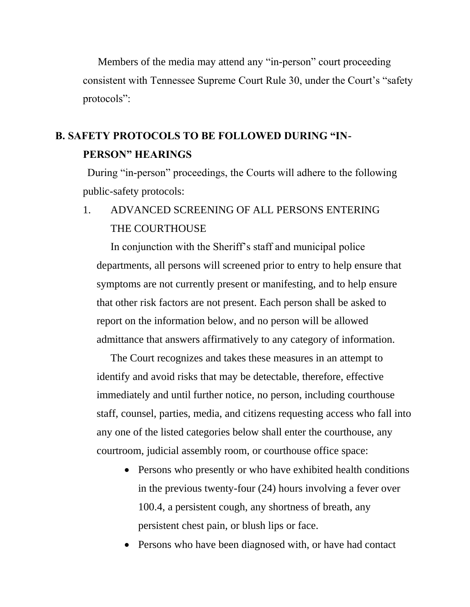Members of the media may attend any "in-person" court proceeding consistent with Tennessee Supreme Court Rule 30, under the Court's "safety protocols":

# **B. SAFETY PROTOCOLS TO BE FOLLOWED DURING "IN-PERSON" HEARINGS**

During "in-person" proceedings, the Courts will adhere to the following public-safety protocols:

## 1. ADVANCED SCREENING OF ALL PERSONS ENTERING THE COURTHOUSE

In conjunction with the Sheriff's staff and municipal police departments, all persons will screened prior to entry to help ensure that symptoms are not currently present or manifesting, and to help ensure that other risk factors are not present. Each person shall be asked to report on the information below, and no person will be allowed admittance that answers affirmatively to any category of information.

The Court recognizes and takes these measures in an attempt to identify and avoid risks that may be detectable, therefore, effective immediately and until further notice, no person, including courthouse staff, counsel, parties, media, and citizens requesting access who fall into any one of the listed categories below shall enter the courthouse, any courtroom, judicial assembly room, or courthouse office space:

- Persons who presently or who have exhibited health conditions in the previous twenty-four (24) hours involving a fever over 100.4, a persistent cough, any shortness of breath, any persistent chest pain, or blush lips or face.
- Persons who have been diagnosed with, or have had contact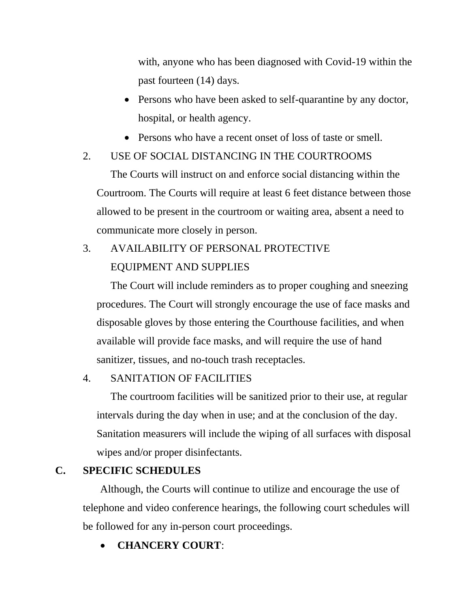with, anyone who has been diagnosed with Covid-19 within the past fourteen (14) days.

- Persons who have been asked to self-quarantine by any doctor, hospital, or health agency.
- Persons who have a recent onset of loss of taste or smell.

## 2. USE OF SOCIAL DISTANCING IN THE COURTROOMS

The Courts will instruct on and enforce social distancing within the Courtroom. The Courts will require at least 6 feet distance between those allowed to be present in the courtroom or waiting area, absent a need to communicate more closely in person.

# 3. AVAILABILITY OF PERSONAL PROTECTIVE EQUIPMENT AND SUPPLIES

The Court will include reminders as to proper coughing and sneezing procedures. The Court will strongly encourage the use of face masks and disposable gloves by those entering the Courthouse facilities, and when available will provide face masks, and will require the use of hand sanitizer, tissues, and no-touch trash receptacles.

### 4. SANITATION OF FACILITIES

The courtroom facilities will be sanitized prior to their use, at regular intervals during the day when in use; and at the conclusion of the day. Sanitation measurers will include the wiping of all surfaces with disposal wipes and/or proper disinfectants.

### **C. SPECIFIC SCHEDULES**

Although, the Courts will continue to utilize and encourage the use of telephone and video conference hearings, the following court schedules will be followed for any in-person court proceedings.

• **CHANCERY COURT**: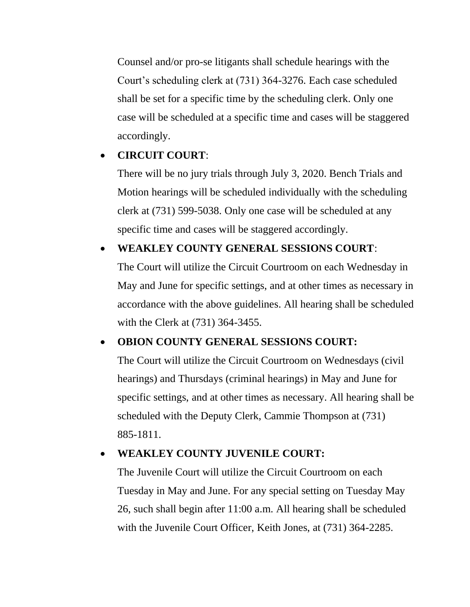Counsel and/or pro-se litigants shall schedule hearings with the Court's scheduling clerk at (731) 364-3276. Each case scheduled shall be set for a specific time by the scheduling clerk. Only one case will be scheduled at a specific time and cases will be staggered accordingly.

## • **CIRCUIT COURT**:

There will be no jury trials through July 3, 2020. Bench Trials and Motion hearings will be scheduled individually with the scheduling clerk at (731) 599-5038. Only one case will be scheduled at any specific time and cases will be staggered accordingly.

## • **WEAKLEY COUNTY GENERAL SESSIONS COURT**:

The Court will utilize the Circuit Courtroom on each Wednesday in May and June for specific settings, and at other times as necessary in accordance with the above guidelines. All hearing shall be scheduled with the Clerk at (731) 364-3455.

### • **OBION COUNTY GENERAL SESSIONS COURT:**

The Court will utilize the Circuit Courtroom on Wednesdays (civil hearings) and Thursdays (criminal hearings) in May and June for specific settings, and at other times as necessary. All hearing shall be scheduled with the Deputy Clerk, Cammie Thompson at (731) 885-1811.

### • **WEAKLEY COUNTY JUVENILE COURT:**

The Juvenile Court will utilize the Circuit Courtroom on each Tuesday in May and June. For any special setting on Tuesday May 26, such shall begin after 11:00 a.m. All hearing shall be scheduled with the Juvenile Court Officer, Keith Jones, at (731) 364-2285.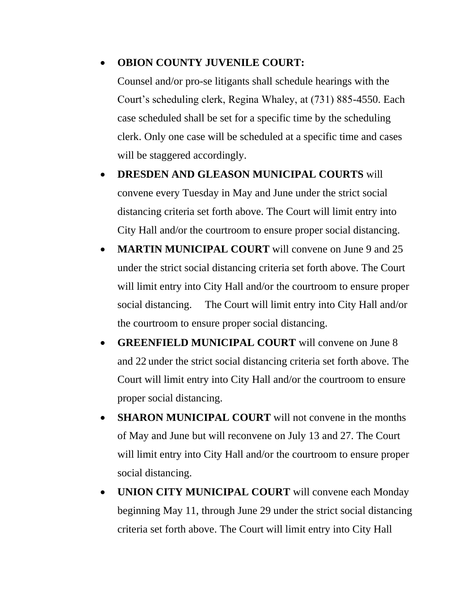### • **OBION COUNTY JUVENILE COURT:**

Counsel and/or pro-se litigants shall schedule hearings with the Court's scheduling clerk, Regina Whaley, at (731) 885-4550. Each case scheduled shall be set for a specific time by the scheduling clerk. Only one case will be scheduled at a specific time and cases will be staggered accordingly.

- **DRESDEN AND GLEASON MUNICIPAL COURTS** will convene every Tuesday in May and June under the strict social distancing criteria set forth above. The Court will limit entry into City Hall and/or the courtroom to ensure proper social distancing.
- **MARTIN MUNICIPAL COURT** will convene on June 9 and 25 under the strict social distancing criteria set forth above. The Court will limit entry into City Hall and/or the courtroom to ensure proper social distancing. The Court will limit entry into City Hall and/or the courtroom to ensure proper social distancing.
- **GREENFIELD MUNICIPAL COURT** will convene on June 8 and 22 under the strict social distancing criteria set forth above. The Court will limit entry into City Hall and/or the courtroom to ensure proper social distancing.
- **SHARON MUNICIPAL COURT** will not convene in the months of May and June but will reconvene on July 13 and 27. The Court will limit entry into City Hall and/or the courtroom to ensure proper social distancing.
- **UNION CITY MUNICIPAL COURT** will convene each Monday beginning May 11, through June 29 under the strict social distancing criteria set forth above. The Court will limit entry into City Hall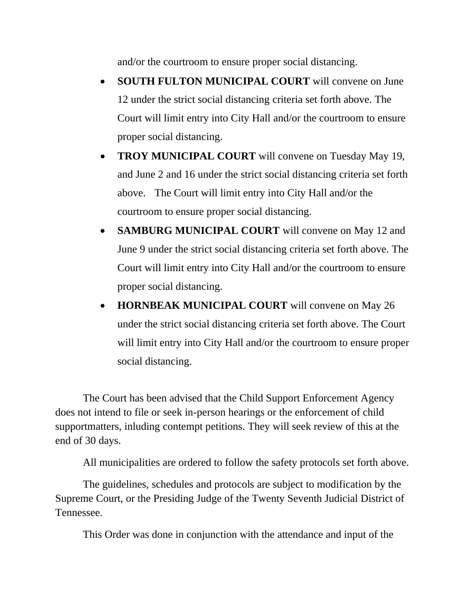and/or the courtroom to ensure proper social distancing.

- **SOUTH FULTON MUNICIPAL COURT** will convene on June 12 under the strict social distancing criteria set forth above. The Court will limit entry into City Hall and/or the courtroom to ensure proper social distancing.
- **TROY MUNICIPAL COURT** will convene on Tuesday May 19, and June 2 and 16 under the strict social distancing criteria set forth above. The Court will limit entry into City Hall and/or the courtroom to ensure proper social distancing.
- **SAMBURG MUNICIPAL COURT** will convene on May 12 and June 9 under the strict social distancing criteria set forth above. The Court will limit entry into City Hall and/or the courtroom to ensure proper social distancing.
- **HORNBEAK MUNICIPAL COURT** will convene on May 26 under the strict social distancing criteria set forth above. The Court will limit entry into City Hall and/or the courtroom to ensure proper social distancing.

The Court has been advised that the Child Support Enforcement Agency does not intend to file or seek in-person hearings or the enforcement of child supportmatters, inluding contempt petitions. They will seek review of this at the end of 30 days.

All municipalities are ordered to follow the safety protocols set forth above.

The guidelines, schedules and protocols are subject to modification by the Supreme Court, or the Presiding Judge of the Twenty Seventh Judicial District of Tennessee.

This Order was done in conjunction with the attendance and input of the